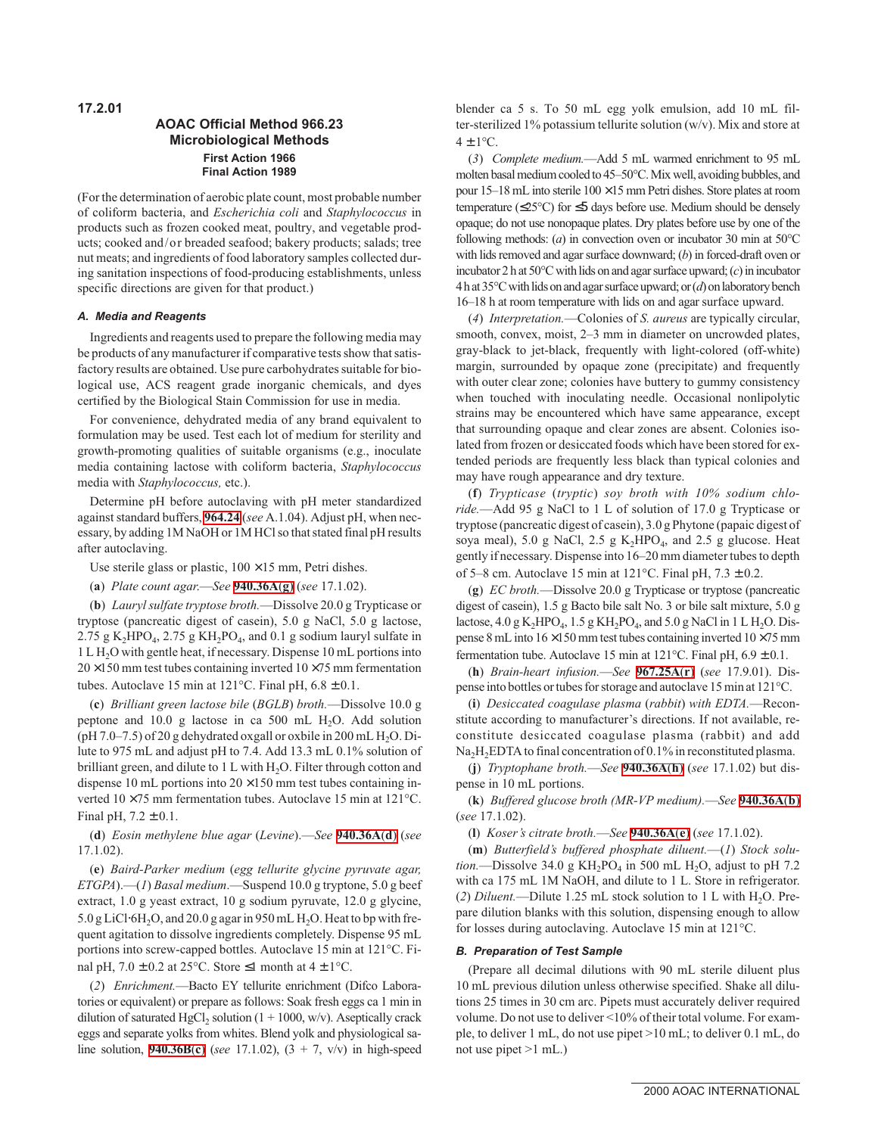## **AOAC Official Method 966.23 Microbiological Methods First Action 1966 Final Action 1989**

(For the determination of aerobic plate count, most probable number of coliform bacteria, and *Escherichia coli* and *Staphylococcus* in products such as frozen cooked meat, poultry, and vegetable products; cooked and/or breaded seafood; bakery products; salads; tree nut meats; and ingredients of food laboratory samples collected during sanitation inspections of food-producing establishments, unless specific directions are given for that product.)

## **A. Media and Reagents**

Ingredients and reagents used to prepare the following media may be products of any manufacturer if comparative tests show that satisfactory results are obtained. Use pure carbohydrates suitable for biological use, ACS reagent grade inorganic chemicals, and dyes certified by the Biological Stain Commission for use in media.

For convenience, dehydrated media of any brand equivalent to formulation may be used. Test each lot of medium for sterility and growth-promoting qualities of suitable organisms (e.g., inoculate media containing lactose with coliform bacteria, *Staphylococcus* media with *Staphylococcus,* etc.).

Determine pH before autoclaving with pH meter standardized against standard buffers, **964.24** (*see* A.1.04). Adjust pH, when necessary, by adding 1M NaOH or 1M HCl so that stated final pH results after autoclaving.

Use sterile glass or plastic,  $100 \times 15$  mm, Petri dishes.

(**a**) *Plate count agar*.—*See* **940.36A**(**g**) (*see* 17.1.02).

(**b**) *Lauryl sulfate tryptose broth.*—Dissolve 20.0 g Trypticase or tryptose (pancreatic digest of casein), 5.0 g NaCl, 5.0 g lactose, 2.75 g K<sub>2</sub>HPO<sub>4</sub>, 2.75 g KH<sub>2</sub>PO<sub>4</sub>, and 0.1 g sodium lauryl sulfate in 1LH2O with gentle heat, if necessary. Dispense 10 mL portions into  $20 \times 150$  mm test tubes containing inverted  $10 \times 75$  mm fermentation tubes. Autoclave 15 min at 121°C. Final pH,  $6.8 \pm 0.1$ .

(**c**) *Brilliant green lactose bile* (*BGLB*) *broth.*—Dissolve 10.0 g peptone and  $10.0 \text{ g}$  lactose in ca 500 mL H<sub>2</sub>O. Add solution (pH 7.0–7.5) of 20 g dehydrated oxgall or oxbile in 200 mL  $H_2O$ . Dilute to 975 mL and adjust pH to 7.4. Add 13.3 mL 0.1% solution of brilliant green, and dilute to  $1 L$  with  $H<sub>2</sub>O$ . Filter through cotton and dispense 10 mL portions into  $20 \times 150$  mm test tubes containing inverted 10 ×75 mm fermentation tubes. Autoclave 15 min at 121°C. Final pH,  $7.2 \pm 0.1$ .

(**d**) *Eosin methylene blue agar* (*Levine*).—*See* **940.36A**(**d**) (*see* 17.1.02).

(**e**) *Baird-Parker medium* (*egg tellurite glycine pyruvate agar, ETGPA*).—(*1*) *Basal medium*.—Suspend 10.0 g tryptone, 5.0 g beef extract, 1.0 g yeast extract, 10 g sodium pyruvate, 12.0 g glycine, 5.0 g LiCl⋅6H<sub>2</sub>O, and 20.0 g agar in 950 mL H<sub>2</sub>O. Heat to bp with frequent agitation to dissolve ingredients completely. Dispense 95 mL portions into screw-capped bottles. Autoclave 15 min at 121°C. Final pH,  $7.0 \pm 0.2$  at 25°C. Store  $\leq 1$  month at  $4 \pm 1$ °C.

(*2*) *Enrichment.*—Bacto EY tellurite enrichment (Difco Laboratories or equivalent) or prepare as follows: Soak fresh eggs ca 1 min in dilution of saturated HgCl<sub>2</sub> solution ( $1 + 1000$ , w/v). Aseptically crack eggs and separate yolks from whites. Blend yolk and physiological saline solution, **940.36B**(**c**) (*see* 17.1.02), (3 + 7, v/v) in high-speed blender ca 5 s. To 50 mL egg yolk emulsion, add 10 mL filter-sterilized 1% potassium tellurite solution (w/v). Mix and store at  $4 \pm 1$ °C.

(*3*) *Complete medium.*—Add 5 mL warmed enrichment to 95 mL molten basal medium cooled to 45–50°C. Mix well, avoiding bubbles, and pour  $15-18$  mL into sterile  $100 \times 15$  mm Petri dishes. Store plates at room temperature ( $\leq$ 25°C) for  $\leq$ 5 days before use. Medium should be densely opaque; do not use nonopaque plates. Dry plates before use by one of the following methods: (*a*) in convection oven or incubator 30 min at 50°C with lids removed and agar surface downward; (*b*) in forced-draft oven or incubator 2 h at  $50^{\circ}$ C with lids on and agar surface upward;  $(c)$  in incubator 4 h at 35°C with lids on and agar surface upward; or (*d*) on laboratory bench 16–18 h at room temperature with lids on and agar surface upward.

(*4*) *Interpretation.*—Colonies of *S. aureus* are typically circular, smooth, convex, moist, 2–3 mm in diameter on uncrowded plates, gray-black to jet-black, frequently with light-colored (off-white) margin, surrounded by opaque zone (precipitate) and frequently with outer clear zone; colonies have buttery to gummy consistency when touched with inoculating needle. Occasional nonlipolytic strains may be encountered which have same appearance, except that surrounding opaque and clear zones are absent. Colonies isolated from frozen or desiccated foods which have been stored for extended periods are frequently less black than typical colonies and may have rough appearance and dry texture.

(**f**) *Trypticase* (*tryptic*) *soy broth with 10% sodium chloride.*—Add 95 g NaCl to 1 L of solution of 17.0 g Trypticase or tryptose (pancreatic digest of casein), 3.0 g Phytone (papaic digest of soya meal), 5.0 g NaCl, 2.5 g  $K_2HPO_4$ , and 2.5 g glucose. Heat gently if necessary. Dispense into 16–20 mm diameter tubes to depth of 5–8 cm. Autoclave 15 min at 121°C. Final pH,  $7.3 \pm 0.2$ .

(**g**) *EC broth.*—Dissolve 20.0 g Trypticase or tryptose (pancreatic digest of casein), 1.5 g Bacto bile salt No. 3 or bile salt mixture, 5.0 g lactose,  $4.0$  g K<sub>2</sub>HPO<sub>4</sub>,  $1.5$  g KH<sub>2</sub>PO<sub>4</sub>, and  $5.0$  g NaCl in 1 L H<sub>2</sub>O. Dispense 8 mL into 16 ×150 mm test tubes containing inverted 10 ×75 mm fermentation tube. Autoclave 15 min at 121 $^{\circ}$ C. Final pH, 6.9  $\pm$  0.1.

(**h**) *Brain-heart infusion.*—*See* **967.25A**(**r**) (*see* 17.9.01). Dispense into bottles or tubes for storage and autoclave 15 min at 121°C.

(**i**) *Desiccated coagulase plasma* (*rabbit*) *with EDTA.*—Reconstitute according to manufacturer's directions. If not available, reconstitute desiccated coagulase plasma (rabbit) and add  $Na<sub>2</sub>H<sub>2</sub>EDTA$  to final concentration of 0.1% in reconstituted plasma.

(**j**) *Tryptophane broth.*—*See* **940.36A**(**h**) (*see* 17.1.02) but dispense in 10 mL portions.

(**k**) *Buffered glucose broth (MR-VP medium).*—*See* **940.36A**(**b**) (*see* 17.1.02).

(**l**) *Koser's citrate broth.*—*See* **940.36A**(**e**) (*see* 17.1.02).

(**m**) *Butterfield's buffered phosphate diluent.*—(*1*) *Stock solu* $tion.$  -Dissolve 34.0 g  $KH<sub>2</sub>PO<sub>4</sub>$  in 500 mL H<sub>2</sub>O, adjust to pH 7.2 with ca 175 mL 1M NaOH, and dilute to 1 L. Store in refrigerator. (2) *Diluent*.—Dilute 1.25 mL stock solution to 1 L with  $H_2O$ . Prepare dilution blanks with this solution, dispensing enough to allow for losses during autoclaving. Autoclave 15 min at 121°C.

## **B. Preparation of Test Sample**

(Prepare all decimal dilutions with 90 mL sterile diluent plus 10 mL previous dilution unless otherwise specified. Shake all dilutions 25 times in 30 cm arc. Pipets must accurately deliver required volume. Do not use to deliver <10% of their total volume. For example, to deliver 1 mL, do not use pipet >10 mL; to deliver 0.1 mL, do not use pipet >1 mL.)